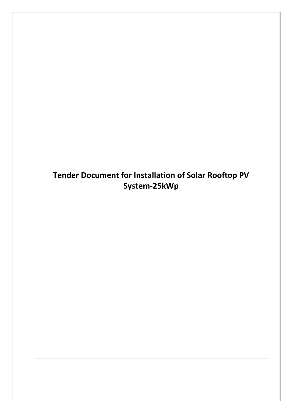**Tender Document for Installation of Solar Rooftop PV System-25kWp**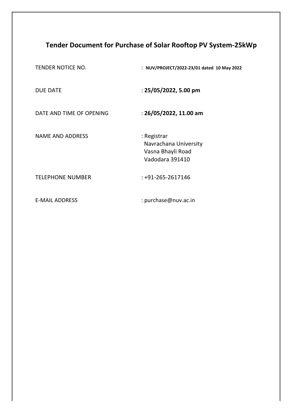# **Tender Document for Purchase of Solar Rooftop PV System-25kWp**

| TENDER NOTICE NO.        | : NUV/PROJECT/2022-23/01 dated 10 May 2022                                   |
|--------------------------|------------------------------------------------------------------------------|
| <b>DUE DATE</b>          | : 25/05/2022, 5.00 pm                                                        |
| DATE AND TIME OF OPENING | : 26/05/2022, 11.00 am                                                       |
| <b>NAME AND ADDRESS</b>  | : Registrar<br>Navrachana University<br>Vasna Bhayli Road<br>Vadodara 391410 |
| <b>TELEPHONE NUMBER</b>  | : +91-265-2617146                                                            |
| <b>E-MAIL ADDRESS</b>    | : purchase@nuv.ac.in                                                         |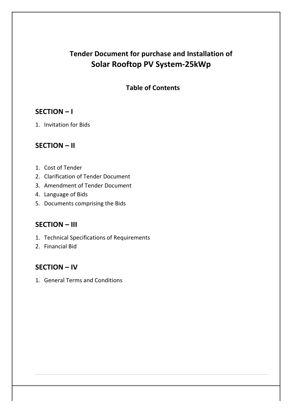## **Tender Document for purchase and Installation of Solar Rooftop PV System-25kWp**

## **Table of Contents**

## **SECTION – I**

1. Invitation for Bids

#### **SECTION – II**

- 1. Cost of Tender
- 2. Clarification of Tender Document
- 3. Amendment of Tender Document
- 4. Language of Bids
- 5. Documents comprising the Bids

#### **SECTION – III**

- 1. Technical Specifications of Requirements
- 2. Financial Bid

## **SECTION – IV**

1. General Terms and Conditions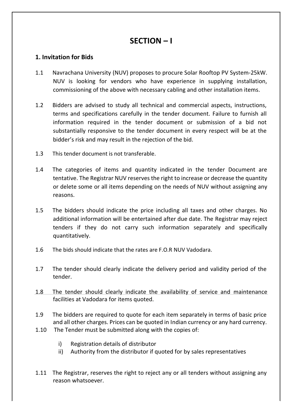## **SECTION – I**

#### **1. Invitation for Bids**

- 1.1 Navrachana University (NUV) proposes to procure Solar Rooftop PV System-25kW. NUV is looking for vendors who have experience in supplying installation, commissioning of the above with necessary cabling and other installation items.
- 1.2 Bidders are advised to study all technical and commercial aspects, instructions, terms and specifications carefully in the tender document. Failure to furnish all information required in the tender document or submission of a bid not substantially responsive to the tender document in every respect will be at the bidder's risk and may result in the rejection of the bid.
- 1.3 This tender document is not transferable.
- 1.4 The categories of items and quantity indicated in the tender Document are tentative. The Registrar NUV reserves the right to increase or decrease the quantity or delete some or all items depending on the needs of NUV without assigning any reasons.
- 1.5 The bidders should indicate the price including all taxes and other charges. No additional information will be entertained after due date. The Registrar may reject tenders if they do not carry such information separately and specifically quantitatively.
- 1.6 The bids should indicate that the rates are F.O.R NUV Vadodara.
- 1.7 The tender should clearly indicate the delivery period and validity period of the tender.
- 1.8 The tender should clearly indicate the availability of service and maintenance facilities at Vadodara for items quoted.
- 1.9 The bidders are required to quote for each item separately in terms of basic price and all other charges. Prices can be quoted in Indian currency or any hard currency.
- 1.10 The Tender must be submitted along with the copies of:
	- i) Registration details of distributor
	- ii) Authority from the distributor if quoted for by sales representatives
- 1.11 The Registrar, reserves the right to reject any or all tenders without assigning any reason whatsoever.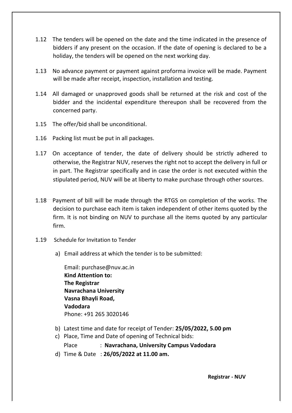- 1.12 The tenders will be opened on the date and the time indicated in the presence of bidders if any present on the occasion. If the date of opening is declared to be a holiday, the tenders will be opened on the next working day.
- 1.13 No advance payment or payment against proforma invoice will be made. Payment will be made after receipt, inspection, installation and testing.
- 1.14 All damaged or unapproved goods shall be returned at the risk and cost of the bidder and the incidental expenditure thereupon shall be recovered from the concerned party.
- 1.15 The offer/bid shall be unconditional.
- 1.16 Packing list must be put in all packages.
- 1.17 On acceptance of tender, the date of delivery should be strictly adhered to otherwise, the Registrar NUV, reserves the right not to accept the delivery in full or in part. The Registrar specifically and in case the order is not executed within the stipulated period, NUV will be at liberty to make purchase through other sources.
- 1.18 Payment of bill will be made through the RTGS on completion of the works. The decision to purchase each item is taken independent of other items quoted by the firm. It is not binding on NUV to purchase all the items quoted by any particular firm.
- 1.19 Schedule for Invitation to Tender
	- a) Email address at which the tender is to be submitted:

Email: purchase@nuv.ac.in **Kind Attention to: The Registrar Navrachana University Vasna Bhayli Road, Vadodara** Phone: +91 265 3020146

- b) Latest time and date for receipt of Tender: **25/05/2022, 5.00 pm**
- c) Place, Time and Date of opening of Technical bids:

Place : **Navrachana, University Campus Vadodara**

d) Time & Date : **26/05/2022 at 11.00 am.**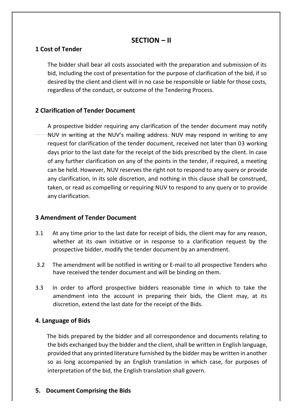## **SECTION – II**

#### **1 Cost of Tender**

The bidder shall bear all costs associated with the preparation and submission of its bid, including the cost of presentation for the purpose of clarification of the bid, if so desired by the client and client will in no case be responsible or liable for those costs, regardless of the conduct, or outcome of the Tendering Process.

#### **2 Clarification of Tender Document**

A prospective bidder requiring any clarification of the tender document may notify NUV in writing at the NUV's mailing address. NUV may respond in writing to any request for clarification of the tender document, received not later than 03 working days prior to the last date for the receipt of the bids prescribed by the client. In case of any further clarification on any of the points in the tender, if required, a meeting can be held. However, NUV reserves the right not to respond to any query or provide any clarification, in its sole discretion, and nothing in this clause shall be construed, taken, or read as compelling or requiring NUV to respond to any query or to provide any clarification.

#### **3 Amendment of Tender Document**

- 3.1 At any time prior to the last date for receipt of bids, the client may for any reason, whether at its own initiative or in response to a clarification request by the prospective bidder, modify the tender document by an amendment.
- 3.2 The amendment will be notified in writing or E-mail to all prospective Tenders who have received the tender document and will be binding on them.
- 3.3 In order to afford prospective bidders reasonable time in which to take the amendment into the account in preparing their bids, the Client may, at its discretion, extend the last date for the receipt of the Bids.

#### **4. Language of Bids**

The bids prepared by the bidder and all correspondence and documents relating to the bids exchanged buy the bidder and the client, shall be written in English language, provided that any printed literature furnished by the bidder may be written in another so as long accompanied by an English translation in which case, for purposes of interpretation of the bid, the English translation shall govern.

#### **5. Document Comprising the Bids**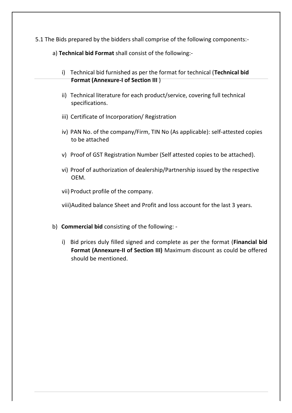5.1 The Bids prepared by the bidders shall comprise of the following components:-

a) **Technical bid Format** shall consist of the following:-

- i) Technical bid furnished as per the format for technical (**Technical bid Format (Annexure-I of Section III** )
- ii) Technical literature for each product/service, covering full technical specifications.
- iii) Certificate of Incorporation/ Registration
- iv) PAN No. of the company/Firm, TIN No (As applicable): self-attested copies to be attached
- v) Proof of GST Registration Number (Self attested copies to be attached).
- vi) Proof of authorization of dealership/Partnership issued by the respective OEM.

vii) Product profile of the company.

viii)Audited balance Sheet and Profit and loss account for the last 3 years.

- b) **Commercial bid** consisting of the following:
	- i) Bid prices duly filled signed and complete as per the format (**Financial bid Format (Annexure-II of Section III)** Maximum discount as could be offered should be mentioned.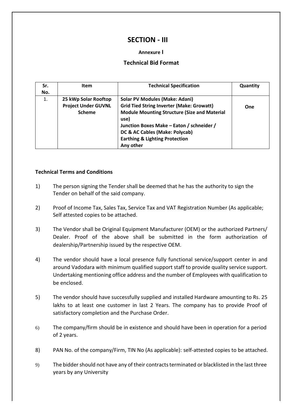## **SECTION - III**

#### **Annexure I**

#### **Technical Bid Format**

| Sr.<br>No. | <b>Item</b>                                                         | <b>Technical Specification</b>                                                                                                                                                                                                                                                                    | Quantity |
|------------|---------------------------------------------------------------------|---------------------------------------------------------------------------------------------------------------------------------------------------------------------------------------------------------------------------------------------------------------------------------------------------|----------|
| 1.         | 25 kWp Solar Rooftop<br><b>Project Under GUVNL</b><br><b>Scheme</b> | <b>Solar PV Modules (Make: Adani)</b><br><b>Grid Tied String Inverter (Make: Growatt)</b><br><b>Module Mounting Structure (Size and Material</b><br>use)<br>Junction Boxes Make - Eaton / schneider /<br>DC & AC Cables (Make: Polycab)<br><b>Earthing &amp; Lighting Protection</b><br>Any other | One      |

#### **Technical Terms and Conditions**

- 1) The person signing the Tender shall be deemed that he has the authority to sign the Tender on behalf of the said company.
- 2) Proof of Income Tax, Sales Tax, Service Tax and VAT Registration Number (As applicable; Self attested copies to be attached.
- 3) The Vendor shall be Original Equipment Manufacturer (OEM) or the authorized Partners/ Dealer. Proof of the above shall be submitted in the form authorization of dealership/Partnership issued by the respective OEM.
- 4) The vendor should have a local presence fully functional service/support center in and around Vadodara with minimum qualified support staff to provide quality service support. Undertaking mentioning office address and the number of Employees with qualification to be enclosed.
- 5) The vendor should have successfully supplied and installed Hardware amounting to Rs. 25 lakhs to at least one customer in last 2 Years. The company has to provide Proof of satisfactory completion and the Purchase Order.
- 6) The company/firm should be in existence and should have been in operation for a period of 2 years.
- 8) PAN No. of the company/Firm, TIN No (As applicable): self-attested copies to be attached.
- 9) The bidder should not have any of their contracts terminated or blacklisted in the last three years by any University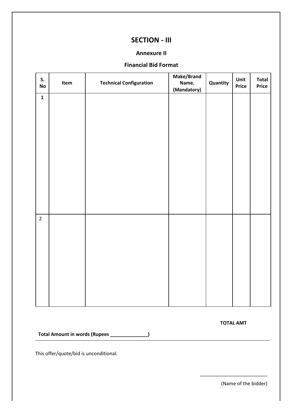## **SECTION - III**

#### **Annexure II**

#### **Financial Bid Format**

| S.<br>$\mathsf{No}$ | Item | <b>Technical Configuration</b> | Make/Brand<br>Name.<br>(Mandatory) | Quantity | Unit<br>Price | <b>Total</b><br>Price |
|---------------------|------|--------------------------------|------------------------------------|----------|---------------|-----------------------|
| $\mathbf{1}$        |      |                                |                                    |          |               |                       |
|                     |      |                                |                                    |          |               |                       |
|                     |      |                                |                                    |          |               |                       |
|                     |      |                                |                                    |          |               |                       |
|                     |      |                                |                                    |          |               |                       |
|                     |      |                                |                                    |          |               |                       |
|                     |      |                                |                                    |          |               |                       |
| $\overline{2}$      |      |                                |                                    |          |               |                       |
|                     |      |                                |                                    |          |               |                       |
|                     |      |                                |                                    |          |               |                       |
|                     |      |                                |                                    |          |               |                       |
|                     |      |                                |                                    |          |               |                       |
|                     |      |                                |                                    |          |               |                       |

**TOTAL AMT**

\_\_\_\_\_\_\_\_\_\_\_\_\_\_\_\_\_\_\_\_\_\_\_\_\_

**Total Amount in words (Rupees \_\_\_\_\_\_\_\_\_\_\_\_\_\_)**

This offer/quote/bid is unconditional.

(Name of the bidder)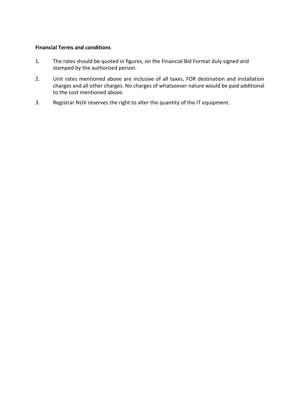#### **Financial Terms and conditions**

- 1. The rates should be quoted in figures, on the Financial Bid Format duly signed and stamped by the authorized person.
- 2. Unit rates mentioned above are inclusive of all taxes, FOR destination and installation charges and all other charges. No charges of whatsoever nature would be paid additional to the cost mentioned above.
- 3. Registrar NUV reserves the right to alter the quantity of the IT equipment.